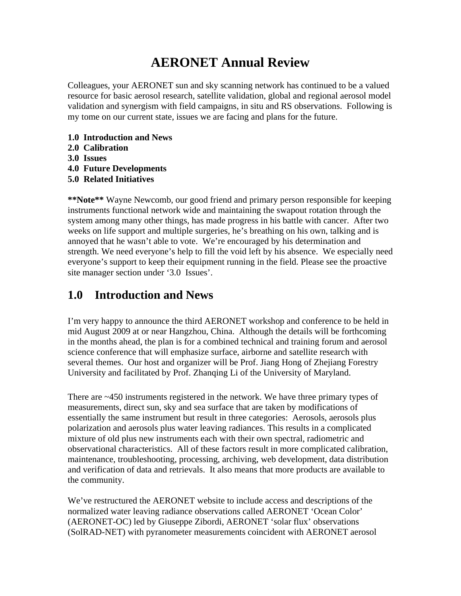# **AERONET Annual Review**

Colleagues, your AERONET sun and sky scanning network has continued to be a valued resource for basic aerosol research, satellite validation, global and regional aerosol model validation and synergism with field campaigns, in situ and RS observations. Following is my tome on our current state, issues we are facing and plans for the future.

- **1.0 Introduction and News**
- **2.0 Calibration**
- **3.0 Issues**
- **4.0 Future Developments**
- **5.0 Related Initiatives**

**\*\*Note\*\*** Wayne Newcomb, our good friend and primary person responsible for keeping instruments functional network wide and maintaining the swapout rotation through the system among many other things, has made progress in his battle with cancer. After two weeks on life support and multiple surgeries, he's breathing on his own, talking and is annoyed that he wasn't able to vote. We're encouraged by his determination and strength. We need everyone's help to fill the void left by his absence. We especially need everyone's support to keep their equipment running in the field. Please see the proactive site manager section under '3.0 Issues'.

## **1.0 Introduction and News**

I'm very happy to announce the third AERONET workshop and conference to be held in mid August 2009 at or near Hangzhou, China. Although the details will be forthcoming in the months ahead, the plan is for a combined technical and training forum and aerosol science conference that will emphasize surface, airborne and satellite research with several themes. Our host and organizer will be Prof. Jiang Hong of Zhejiang Forestry University and facilitated by Prof. Zhanqing Li of the University of Maryland.

There are ~450 instruments registered in the network. We have three primary types of measurements, direct sun, sky and sea surface that are taken by modifications of essentially the same instrument but result in three categories: Aerosols, aerosols plus polarization and aerosols plus water leaving radiances. This results in a complicated mixture of old plus new instruments each with their own spectral, radiometric and observational characteristics. All of these factors result in more complicated calibration, maintenance, troubleshooting, processing, archiving, web development, data distribution and verification of data and retrievals. It also means that more products are available to the community.

We've restructured the AERONET website to include access and descriptions of the normalized water leaving radiance observations called AERONET 'Ocean Color' (AERONET-OC) led by Giuseppe Zibordi, AERONET 'solar flux' observations (SolRAD-NET) with pyranometer measurements coincident with AERONET aerosol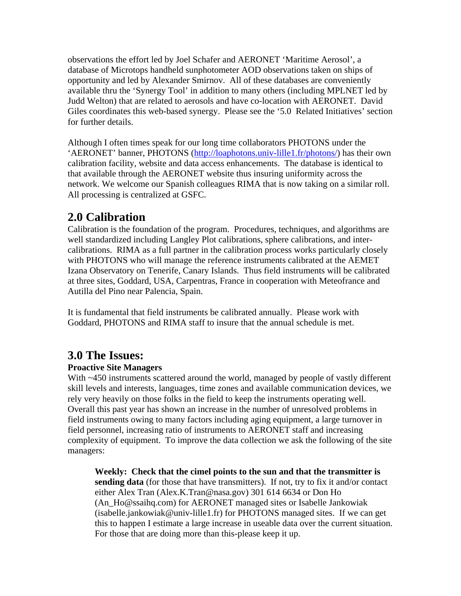observations the effort led by Joel Schafer and AERONET 'Maritime Aerosol', a database of Microtops handheld sunphotometer AOD observations taken on ships of opportunity and led by Alexander Smirnov. All of these databases are conveniently available thru the 'Synergy Tool' in addition to many others (including MPLNET led by Judd Welton) that are related to aerosols and have co-location with AERONET. David Giles coordinates this web-based synergy. Please see the '5.0 Related Initiatives' section for further details.

Although I often times speak for our long time collaborators PHOTONS under the 'AERONET' banner, PHOTONS ([http://loaphotons.univ-lille1.fr/photons/\)](http://loaphotons.univ-lille1.fr/photons/) has their own calibration facility, website and data access enhancements. The database is identical to that available through the AERONET website thus insuring uniformity across the network. We welcome our Spanish colleagues RIMA that is now taking on a similar roll. All processing is centralized at GSFC.

## **2.0 Calibration**

Calibration is the foundation of the program. Procedures, techniques, and algorithms are well standardized including Langley Plot calibrations, sphere calibrations, and intercalibrations. RIMA as a full partner in the calibration process works particularly closely with PHOTONS who will manage the reference instruments calibrated at the AEMET Izana Observatory on Tenerife, Canary Islands. Thus field instruments will be calibrated at three sites, Goddard, USA, Carpentras, France in cooperation with Meteofrance and Autilla del Pino near Palencia, Spain.

It is fundamental that field instruments be calibrated annually. Please work with Goddard, PHOTONS and RIMA staff to insure that the annual schedule is met.

## **3.0 The Issues:**

### **Proactive Site Managers**

With ~450 instruments scattered around the world, managed by people of vastly different skill levels and interests, languages, time zones and available communication devices, we rely very heavily on those folks in the field to keep the instruments operating well. Overall this past year has shown an increase in the number of unresolved problems in field instruments owing to many factors including aging equipment, a large turnover in field personnel, increasing ratio of instruments to AERONET staff and increasing complexity of equipment. To improve the data collection we ask the following of the site managers:

**Weekly: Check that the cimel points to the sun and that the transmitter is sending data** (for those that have transmitters). If not, try to fix it and/or contact either Alex Tran (Alex.K.Tran@nasa.gov) 301 614 6634 or Don Ho (An\_Ho@ssaihq.com) for AERONET managed sites or Isabelle Jankowiak (isabelle.jankowiak@univ-lille1.fr) for PHOTONS managed sites. If we can get this to happen I estimate a large increase in useable data over the current situation. For those that are doing more than this-please keep it up.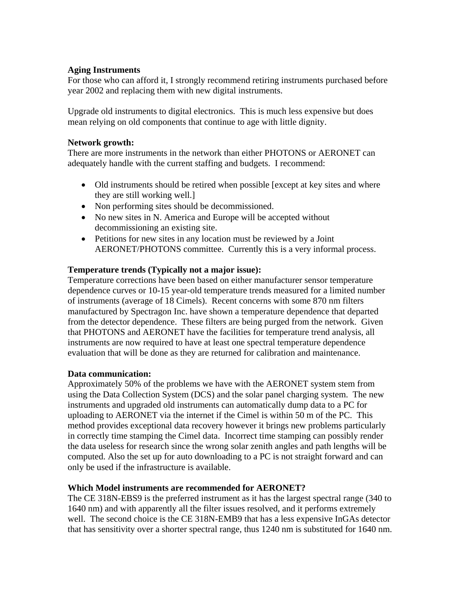### **Aging Instruments**

For those who can afford it, I strongly recommend retiring instruments purchased before year 2002 and replacing them with new digital instruments.

Upgrade old instruments to digital electronics. This is much less expensive but does mean relying on old components that continue to age with little dignity.

### **Network growth:**

There are more instruments in the network than either PHOTONS or AERONET can adequately handle with the current staffing and budgets. I recommend:

- Old instruments should be retired when possible [except at key sites and where they are still working well.]
- Non performing sites should be decommissioned.
- No new sites in N. America and Europe will be accepted without decommissioning an existing site.
- Petitions for new sites in any location must be reviewed by a Joint AERONET/PHOTONS committee. Currently this is a very informal process.

### **Temperature trends (Typically not a major issue):**

Temperature corrections have been based on either manufacturer sensor temperature dependence curves or 10-15 year-old temperature trends measured for a limited number of instruments (average of 18 Cimels). Recent concerns with some 870 nm filters manufactured by Spectragon Inc. have shown a temperature dependence that departed from the detector dependence. These filters are being purged from the network. Given that PHOTONS and AERONET have the facilities for temperature trend analysis, all instruments are now required to have at least one spectral temperature dependence evaluation that will be done as they are returned for calibration and maintenance.

### **Data communication:**

Approximately 50% of the problems we have with the AERONET system stem from using the Data Collection System (DCS) and the solar panel charging system. The new instruments and upgraded old instruments can automatically dump data to a PC for uploading to AERONET via the internet if the Cimel is within 50 m of the PC. This method provides exceptional data recovery however it brings new problems particularly in correctly time stamping the Cimel data. Incorrect time stamping can possibly render the data useless for research since the wrong solar zenith angles and path lengths will be computed. Also the set up for auto downloading to a PC is not straight forward and can only be used if the infrastructure is available.

### **Which Model instruments are recommended for AERONET?**

The CE 318N-EBS9 is the preferred instrument as it has the largest spectral range (340 to 1640 nm) and with apparently all the filter issues resolved, and it performs extremely well. The second choice is the CE 318N-EMB9 that has a less expensive InGAs detector that has sensitivity over a shorter spectral range, thus 1240 nm is substituted for 1640 nm.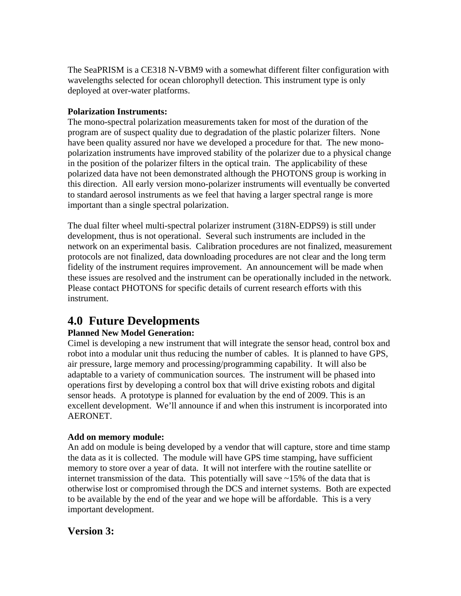The SeaPRISM is a CE318 N-VBM9 with a somewhat different filter configuration with wavelengths selected for ocean chlorophyll detection. This instrument type is only deployed at over-water platforms.

### **Polarization Instruments:**

The mono-spectral polarization measurements taken for most of the duration of the program are of suspect quality due to degradation of the plastic polarizer filters. None have been quality assured nor have we developed a procedure for that. The new monopolarization instruments have improved stability of the polarizer due to a physical change in the position of the polarizer filters in the optical train. The applicability of these polarized data have not been demonstrated although the PHOTONS group is working in this direction. All early version mono-polarizer instruments will eventually be converted to standard aerosol instruments as we feel that having a larger spectral range is more important than a single spectral polarization.

The dual filter wheel multi-spectral polarizer instrument (318N-EDPS9) is still under development, thus is not operational. Several such instruments are included in the network on an experimental basis. Calibration procedures are not finalized, measurement protocols are not finalized, data downloading procedures are not clear and the long term fidelity of the instrument requires improvement. An announcement will be made when these issues are resolved and the instrument can be operationally included in the network. Please contact PHOTONS for specific details of current research efforts with this instrument.

## **4.0 Future Developments**

### **Planned New Model Generation:**

Cimel is developing a new instrument that will integrate the sensor head, control box and robot into a modular unit thus reducing the number of cables. It is planned to have GPS, air pressure, large memory and processing/programming capability. It will also be adaptable to a variety of communication sources. The instrument will be phased into operations first by developing a control box that will drive existing robots and digital sensor heads. A prototype is planned for evaluation by the end of 2009. This is an excellent development. We'll announce if and when this instrument is incorporated into AERONET.

### **Add on memory module:**

An add on module is being developed by a vendor that will capture, store and time stamp the data as it is collected. The module will have GPS time stamping, have sufficient memory to store over a year of data. It will not interfere with the routine satellite or internet transmission of the data. This potentially will save  $\sim$  15% of the data that is otherwise lost or compromised through the DCS and internet systems. Both are expected to be available by the end of the year and we hope will be affordable. This is a very important development.

### **Version 3:**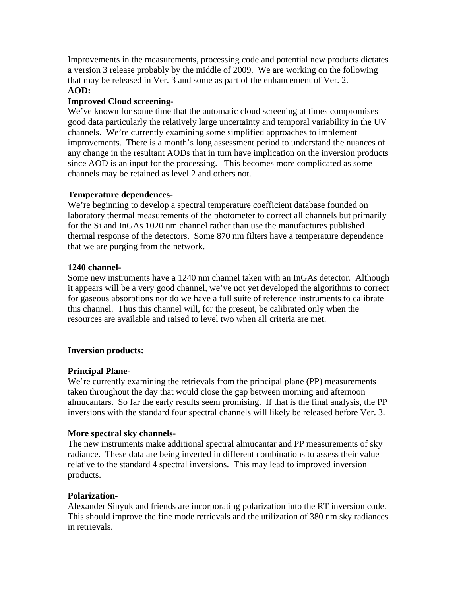Improvements in the measurements, processing code and potential new products dictates a version 3 release probably by the middle of 2009. We are working on the following that may be released in Ver. 3 and some as part of the enhancement of Ver. 2. **AOD:** 

### **Improved Cloud screening-**

We've known for some time that the automatic cloud screening at times compromises good data particularly the relatively large uncertainty and temporal variability in the UV channels. We're currently examining some simplified approaches to implement improvements. There is a month's long assessment period to understand the nuances of any change in the resultant AODs that in turn have implication on the inversion products since AOD is an input for the processing. This becomes more complicated as some channels may be retained as level 2 and others not.

### **Temperature dependences-**

We're beginning to develop a spectral temperature coefficient database founded on laboratory thermal measurements of the photometer to correct all channels but primarily for the Si and InGAs 1020 nm channel rather than use the manufactures published thermal response of the detectors. Some 870 nm filters have a temperature dependence that we are purging from the network.

### **1240 channel-**

Some new instruments have a 1240 nm channel taken with an InGAs detector. Although it appears will be a very good channel, we've not yet developed the algorithms to correct for gaseous absorptions nor do we have a full suite of reference instruments to calibrate this channel. Thus this channel will, for the present, be calibrated only when the resources are available and raised to level two when all criteria are met.

### **Inversion products:**

### **Principal Plane-**

We're currently examining the retrievals from the principal plane (PP) measurements taken throughout the day that would close the gap between morning and afternoon almucantars. So far the early results seem promising. If that is the final analysis, the PP inversions with the standard four spectral channels will likely be released before Ver. 3.

### **More spectral sky channels-**

The new instruments make additional spectral almucantar and PP measurements of sky radiance. These data are being inverted in different combinations to assess their value relative to the standard 4 spectral inversions. This may lead to improved inversion products.

### **Polarization-**

Alexander Sinyuk and friends are incorporating polarization into the RT inversion code. This should improve the fine mode retrievals and the utilization of 380 nm sky radiances in retrievals.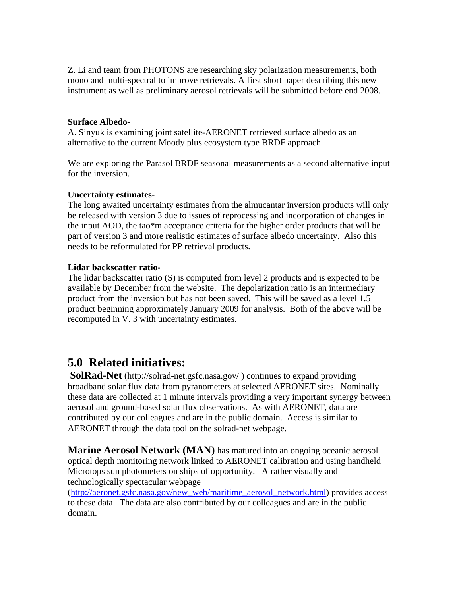Z. Li and team from PHOTONS are researching sky polarization measurements, both mono and multi-spectral to improve retrievals. A first short paper describing this new instrument as well as preliminary aerosol retrievals will be submitted before end 2008.

### **Surface Albedo-**

A. Sinyuk is examining joint satellite-AERONET retrieved surface albedo as an alternative to the current Moody plus ecosystem type BRDF approach.

We are exploring the Parasol BRDF seasonal measurements as a second alternative input for the inversion.

### **Uncertainty estimates-**

The long awaited uncertainty estimates from the almucantar inversion products will only be released with version 3 due to issues of reprocessing and incorporation of changes in the input AOD, the tao\*m acceptance criteria for the higher order products that will be part of version 3 and more realistic estimates of surface albedo uncertainty. Also this needs to be reformulated for PP retrieval products.

#### **Lidar backscatter ratio-**

The lidar backscatter ratio (S) is computed from level 2 products and is expected to be available by December from the website. The depolarization ratio is an intermediary product from the inversion but has not been saved. This will be saved as a level 1.5 product beginning approximately January 2009 for analysis. Both of the above will be recomputed in V. 3 with uncertainty estimates.

### **5.0 Related initiatives:**

**SolRad-Net** (http://solrad-net.gsfc.nasa.gov/ ) continues to expand providing broadband solar flux data from pyranometers at selected AERONET sites. Nominally these data are collected at 1 minute intervals providing a very important synergy between aerosol and ground-based solar flux observations. As with AERONET, data are contributed by our colleagues and are in the public domain. Access is similar to AERONET through the data tool on the solrad-net webpage.

**Marine Aerosol Network (MAN)** has matured into an ongoing oceanic aerosol optical depth monitoring network linked to AERONET calibration and using handheld Microtops sun photometers on ships of opportunity. A rather visually and technologically spectacular webpage

([http://aeronet.gsfc.nasa.gov/new\\_web/maritime\\_aerosol\\_network.html](http://aeronet.gsfc.nasa.gov/new_web/maritime_aerosol_network.html)) provides access to these data. The data are also contributed by our colleagues and are in the public domain.